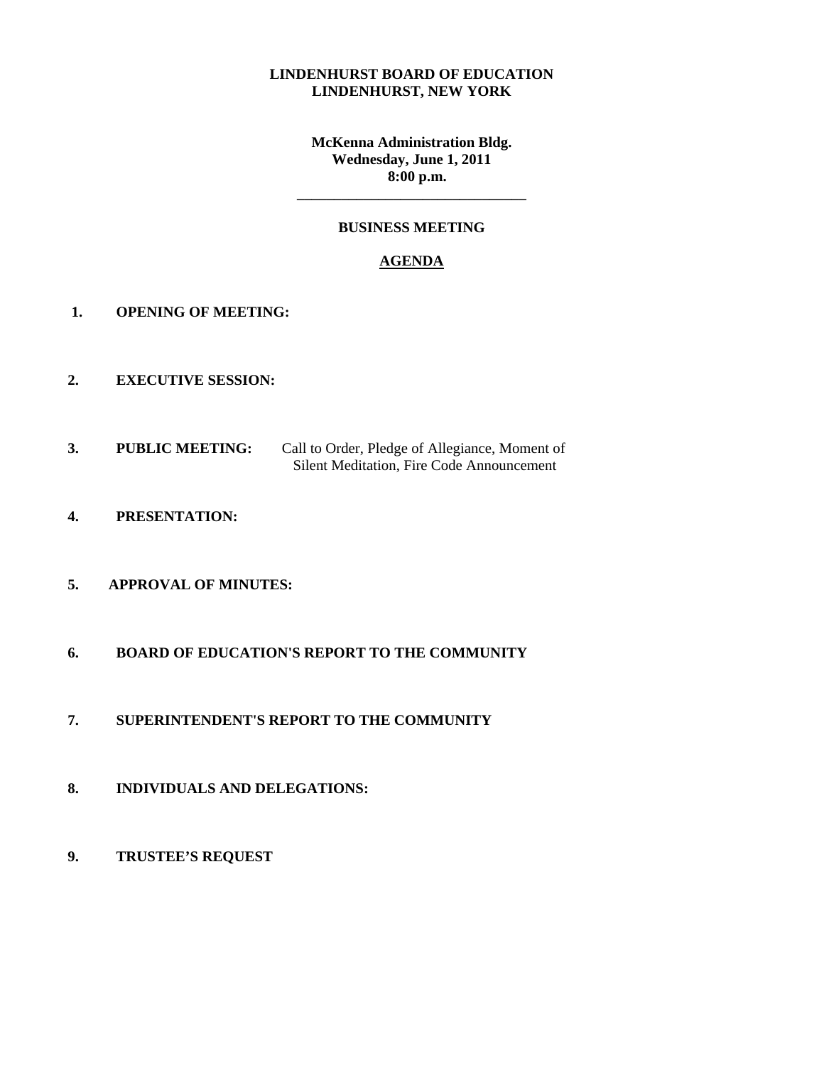#### **LINDENHURST BOARD OF EDUCATION LINDENHURST, NEW YORK**

**McKenna Administration Bldg. Wednesday, June 1, 2011 8:00 p.m.** 

#### **BUSINESS MEETING**

**\_\_\_\_\_\_\_\_\_\_\_\_\_\_\_\_\_\_\_\_\_\_\_\_\_\_\_\_\_\_\_** 

#### **AGENDA**

- **1. OPENING OF MEETING:**
- **2. EXECUTIVE SESSION:**
- **3. PUBLIC MEETING:** Call to Order, Pledge of Allegiance, Moment of Silent Meditation, Fire Code Announcement
- **4. PRESENTATION:**
- **5. APPROVAL OF MINUTES:**
- **6. BOARD OF EDUCATION'S REPORT TO THE COMMUNITY**
- **7. SUPERINTENDENT'S REPORT TO THE COMMUNITY**
- **8. INDIVIDUALS AND DELEGATIONS:**
- **9. TRUSTEE'S REQUEST**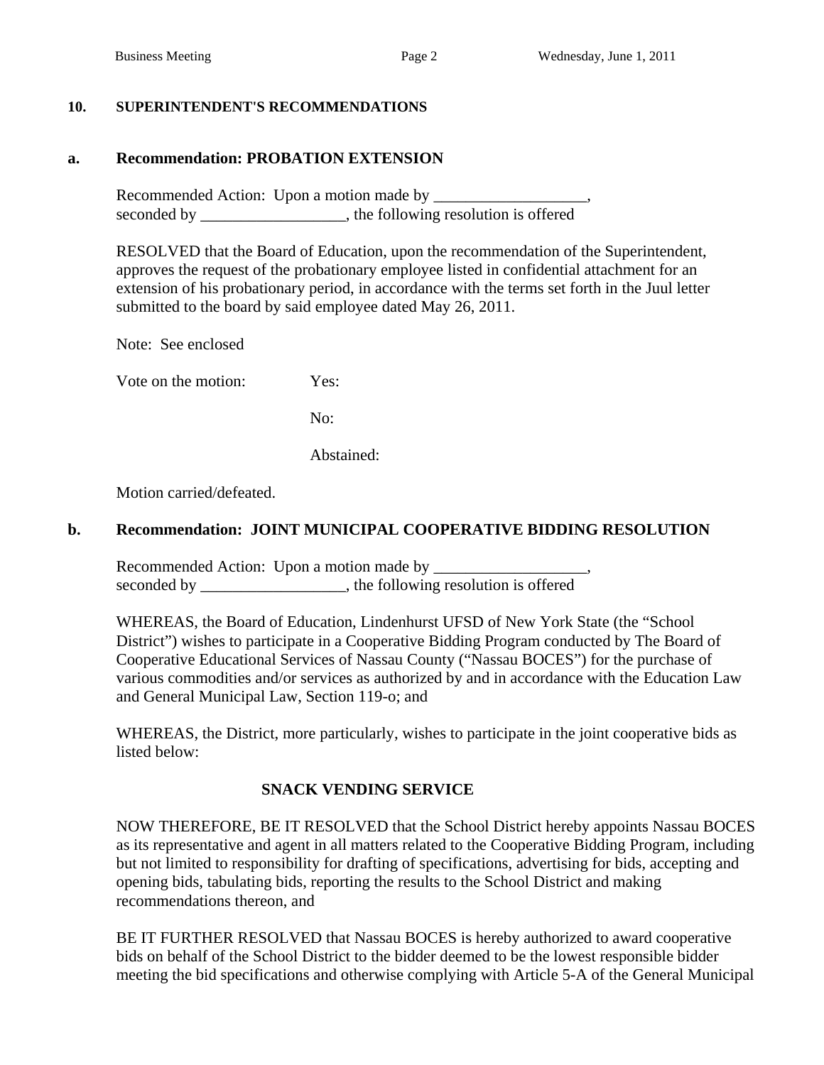### **10. SUPERINTENDENT'S RECOMMENDATIONS**

# **a. Recommendation: PROBATION EXTENSION**

Recommended Action: Upon a motion made by \_\_\_\_\_\_\_\_\_\_\_\_\_\_\_\_\_\_\_, seconded by \_\_\_\_\_\_\_\_\_\_\_\_\_\_\_\_\_, the following resolution is offered

 RESOLVED that the Board of Education, upon the recommendation of the Superintendent, approves the request of the probationary employee listed in confidential attachment for an extension of his probationary period, in accordance with the terms set forth in the Juul letter submitted to the board by said employee dated May 26, 2011.

Note: See enclosed

Vote on the motion: Yes:

No:

Abstained:

Motion carried/defeated.

### **b. Recommendation: JOINT MUNICIPAL COOPERATIVE BIDDING RESOLUTION**

Recommended Action: Upon a motion made by \_\_\_\_\_\_\_\_\_\_\_\_\_\_\_\_\_\_\_, seconded by \_\_\_\_\_\_\_\_\_\_\_\_\_\_\_, the following resolution is offered

WHEREAS, the Board of Education, Lindenhurst UFSD of New York State (the "School District") wishes to participate in a Cooperative Bidding Program conducted by The Board of Cooperative Educational Services of Nassau County ("Nassau BOCES") for the purchase of various commodities and/or services as authorized by and in accordance with the Education Law and General Municipal Law, Section 119-o; and

WHEREAS, the District, more particularly, wishes to participate in the joint cooperative bids as listed below:

## **SNACK VENDING SERVICE**

NOW THEREFORE, BE IT RESOLVED that the School District hereby appoints Nassau BOCES as its representative and agent in all matters related to the Cooperative Bidding Program, including but not limited to responsibility for drafting of specifications, advertising for bids, accepting and opening bids, tabulating bids, reporting the results to the School District and making recommendations thereon, and

BE IT FURTHER RESOLVED that Nassau BOCES is hereby authorized to award cooperative bids on behalf of the School District to the bidder deemed to be the lowest responsible bidder meeting the bid specifications and otherwise complying with Article 5-A of the General Municipal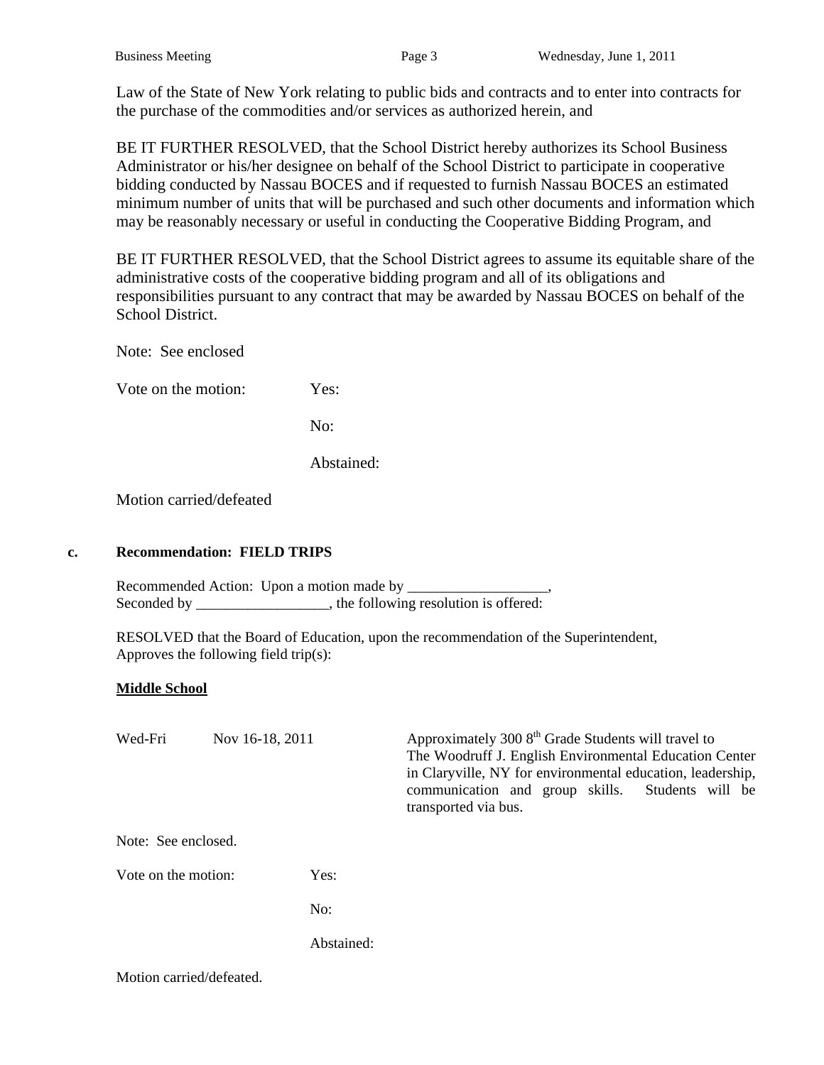Law of the State of New York relating to public bids and contracts and to enter into contracts for the purchase of the commodities and/or services as authorized herein, and

BE IT FURTHER RESOLVED, that the School District hereby authorizes its School Business Administrator or his/her designee on behalf of the School District to participate in cooperative bidding conducted by Nassau BOCES and if requested to furnish Nassau BOCES an estimated minimum number of units that will be purchased and such other documents and information which may be reasonably necessary or useful in conducting the Cooperative Bidding Program, and

BE IT FURTHER RESOLVED, that the School District agrees to assume its equitable share of the administrative costs of the cooperative bidding program and all of its obligations and responsibilities pursuant to any contract that may be awarded by Nassau BOCES on behalf of the School District.

Note: See enclosed

Vote on the motion: Yes:

No:

Abstained:

Motion carried/defeated

#### **c. Recommendation: FIELD TRIPS**

Recommended Action: Upon a motion made by Seconded by \_\_\_\_\_\_\_\_\_\_\_\_\_\_\_\_, the following resolution is offered:

 RESOLVED that the Board of Education, upon the recommendation of the Superintendent, Approves the following field trip(s):

### **Middle School**

| Wed-Fri                  | Nov 16-18, 2011 | Approximately 300 8 <sup>th</sup> Grade Students will travel to<br>The Woodruff J. English Environmental Education Center<br>in Claryville, NY for environmental education, leadership,<br>communication and group skills. Students will be<br>transported via bus. |
|--------------------------|-----------------|---------------------------------------------------------------------------------------------------------------------------------------------------------------------------------------------------------------------------------------------------------------------|
| Note: See enclosed.      |                 |                                                                                                                                                                                                                                                                     |
| Vote on the motion:      | Yes:            |                                                                                                                                                                                                                                                                     |
|                          | No:             |                                                                                                                                                                                                                                                                     |
|                          | Abstained:      |                                                                                                                                                                                                                                                                     |
| Motion carried/defeated. |                 |                                                                                                                                                                                                                                                                     |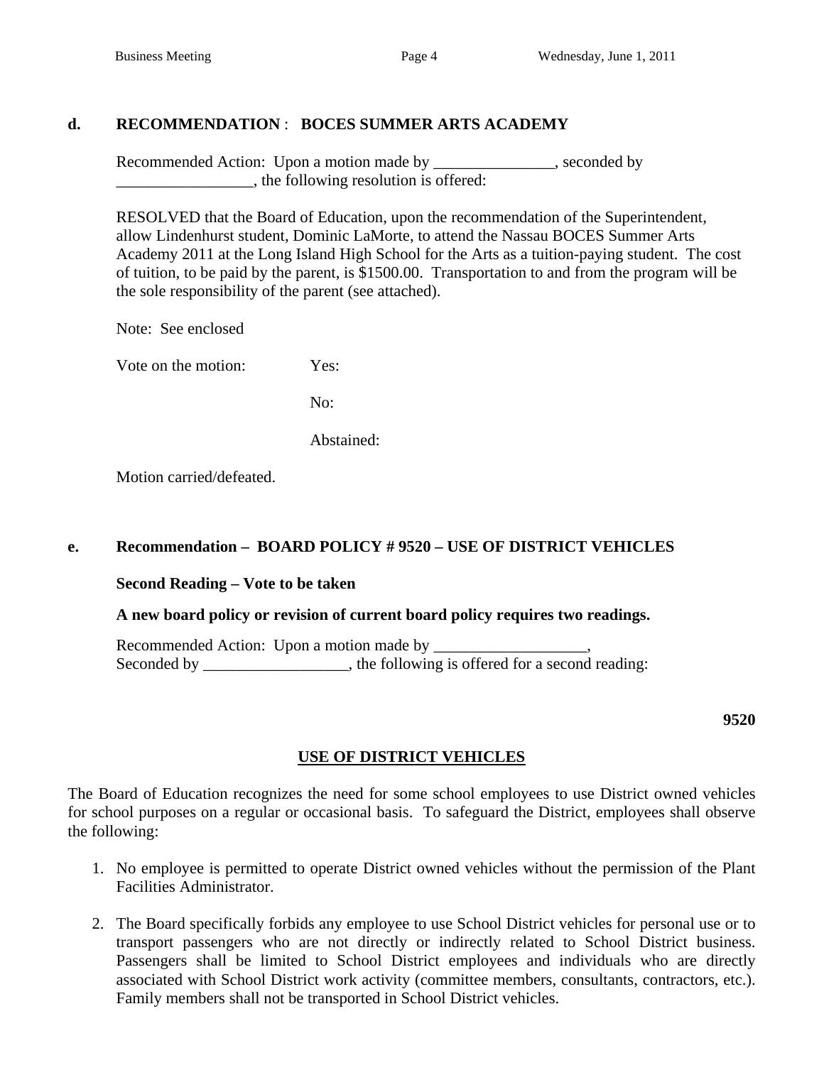# **d. RECOMMENDATION** : **BOCES SUMMER ARTS ACADEMY**

Recommended Action: Upon a motion made by \_\_\_\_\_\_\_\_\_\_\_\_, seconded by \_\_\_\_\_\_\_\_\_\_\_\_\_\_\_\_\_, the following resolution is offered:

 RESOLVED that the Board of Education, upon the recommendation of the Superintendent, allow Lindenhurst student, Dominic LaMorte, to attend the Nassau BOCES Summer Arts Academy 2011 at the Long Island High School for the Arts as a tuition-paying student. The cost of tuition, to be paid by the parent, is \$1500.00. Transportation to and from the program will be the sole responsibility of the parent (see attached).

Note: See enclosed

Vote on the motion: Yes:

No:

Abstained:

Motion carried/defeated.

## **e. Recommendation – BOARD POLICY # 9520 – USE OF DISTRICT VEHICLES**

## **Second Reading – Vote to be taken**

## **A new board policy or revision of current board policy requires two readings.**

Recommended Action: Upon a motion made by Seconded by \_\_\_\_\_\_\_\_\_\_\_\_\_\_, the following is offered for a second reading:

**9520** 

## **USE OF DISTRICT VEHICLES**

The Board of Education recognizes the need for some school employees to use District owned vehicles for school purposes on a regular or occasional basis. To safeguard the District, employees shall observe the following:

- 1. No employee is permitted to operate District owned vehicles without the permission of the Plant Facilities Administrator.
- 2. The Board specifically forbids any employee to use School District vehicles for personal use or to transport passengers who are not directly or indirectly related to School District business. Passengers shall be limited to School District employees and individuals who are directly associated with School District work activity (committee members, consultants, contractors, etc.). Family members shall not be transported in School District vehicles.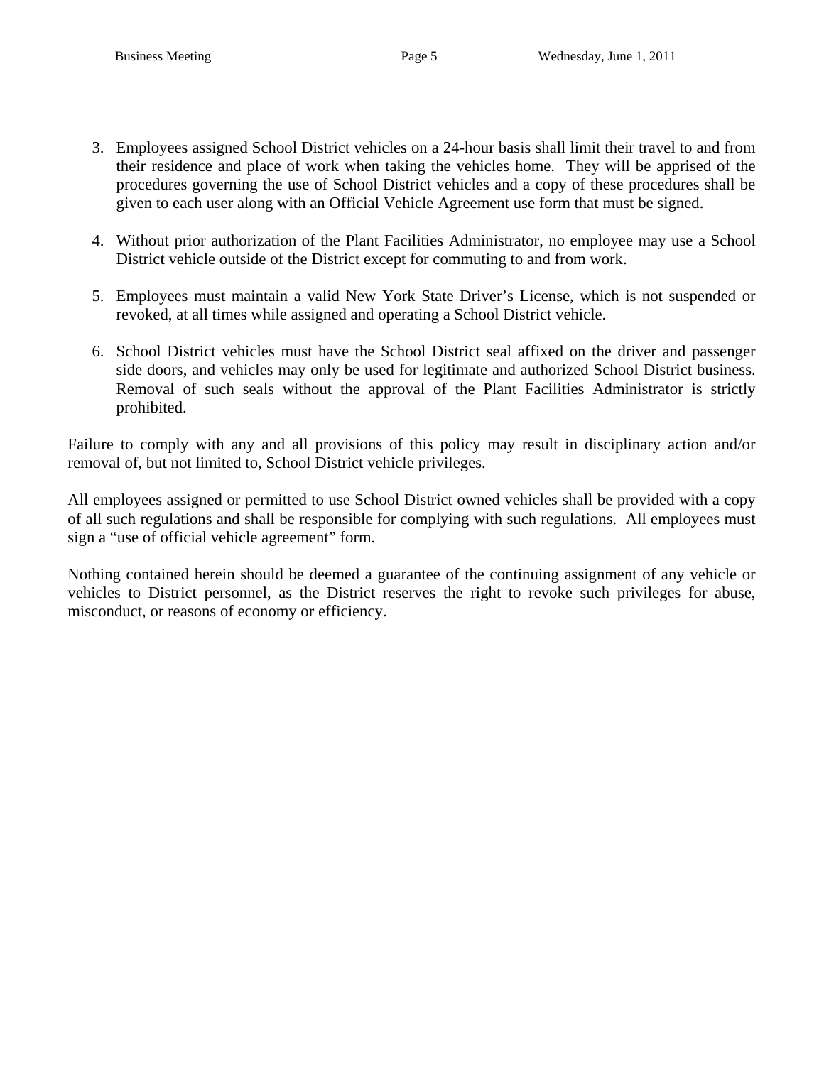- 3. Employees assigned School District vehicles on a 24-hour basis shall limit their travel to and from their residence and place of work when taking the vehicles home. They will be apprised of the procedures governing the use of School District vehicles and a copy of these procedures shall be given to each user along with an Official Vehicle Agreement use form that must be signed.
- 4. Without prior authorization of the Plant Facilities Administrator, no employee may use a School District vehicle outside of the District except for commuting to and from work.
- 5. Employees must maintain a valid New York State Driver's License, which is not suspended or revoked, at all times while assigned and operating a School District vehicle.
- 6. School District vehicles must have the School District seal affixed on the driver and passenger side doors, and vehicles may only be used for legitimate and authorized School District business. Removal of such seals without the approval of the Plant Facilities Administrator is strictly prohibited.

Failure to comply with any and all provisions of this policy may result in disciplinary action and/or removal of, but not limited to, School District vehicle privileges.

All employees assigned or permitted to use School District owned vehicles shall be provided with a copy of all such regulations and shall be responsible for complying with such regulations. All employees must sign a "use of official vehicle agreement" form.

Nothing contained herein should be deemed a guarantee of the continuing assignment of any vehicle or vehicles to District personnel, as the District reserves the right to revoke such privileges for abuse, misconduct, or reasons of economy or efficiency.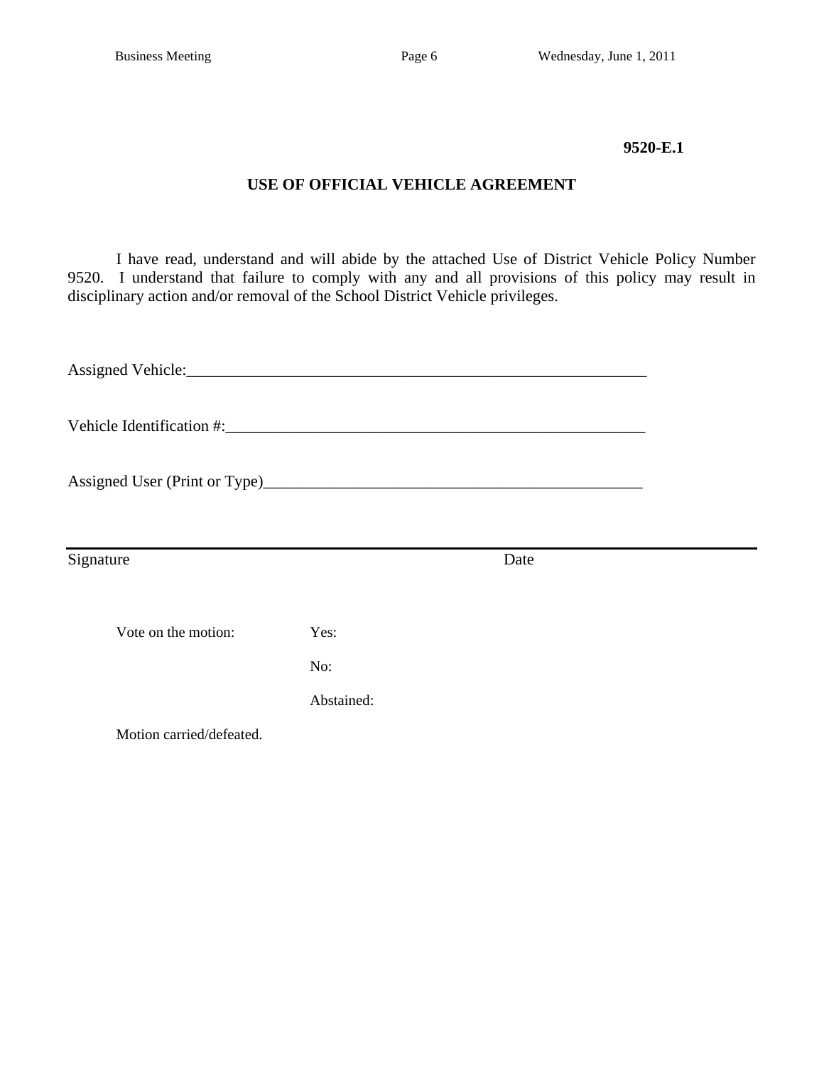#### **9520-E.1**

## **USE OF OFFICIAL VEHICLE AGREEMENT**

I have read, understand and will abide by the attached Use of District Vehicle Policy Number 9520. I understand that failure to comply with any and all provisions of this policy may result in disciplinary action and/or removal of the School District Vehicle privileges.

| Signature                |            | Date |  |
|--------------------------|------------|------|--|
|                          |            |      |  |
| Vote on the motion:      | Yes:       |      |  |
|                          | No:        |      |  |
|                          | Abstained: |      |  |
| Motion carried/defeated. |            |      |  |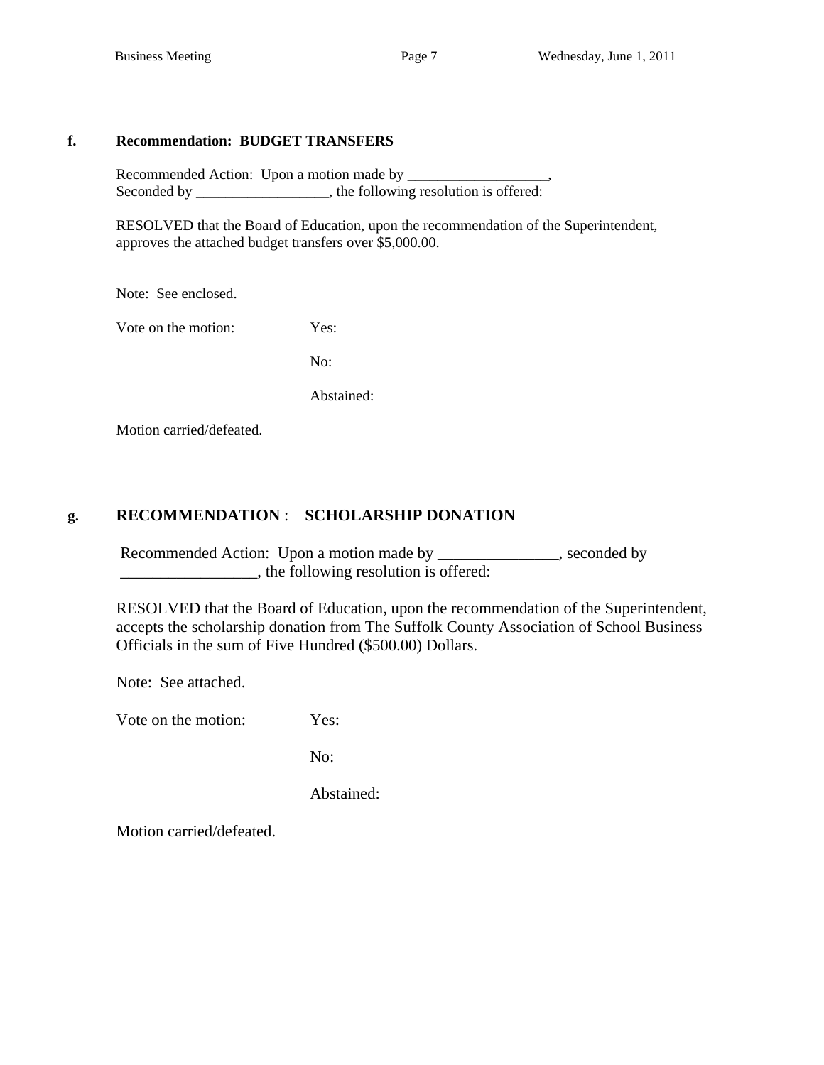### **f. Recommendation: BUDGET TRANSFERS**

 Recommended Action: Upon a motion made by \_\_\_\_\_\_\_\_\_\_\_\_\_\_\_\_\_\_\_, Seconded by \_\_\_\_\_\_\_\_\_\_\_\_\_, the following resolution is offered:

 RESOLVED that the Board of Education, upon the recommendation of the Superintendent, approves the attached budget transfers over \$5,000.00.

Note: See enclosed.

Vote on the motion: Yes:

No:

Abstained:

Motion carried/defeated.

## **g. RECOMMENDATION** : **SCHOLARSHIP DONATION**

Recommended Action: Upon a motion made by \_\_\_\_\_\_\_\_\_\_\_\_\_, seconded by  $\Box$ , the following resolution is offered:

 RESOLVED that the Board of Education, upon the recommendation of the Superintendent, accepts the scholarship donation from The Suffolk County Association of School Business Officials in the sum of Five Hundred (\$500.00) Dollars.

Note: See attached.

Vote on the motion: Yes:

No:

Abstained:

Motion carried/defeated.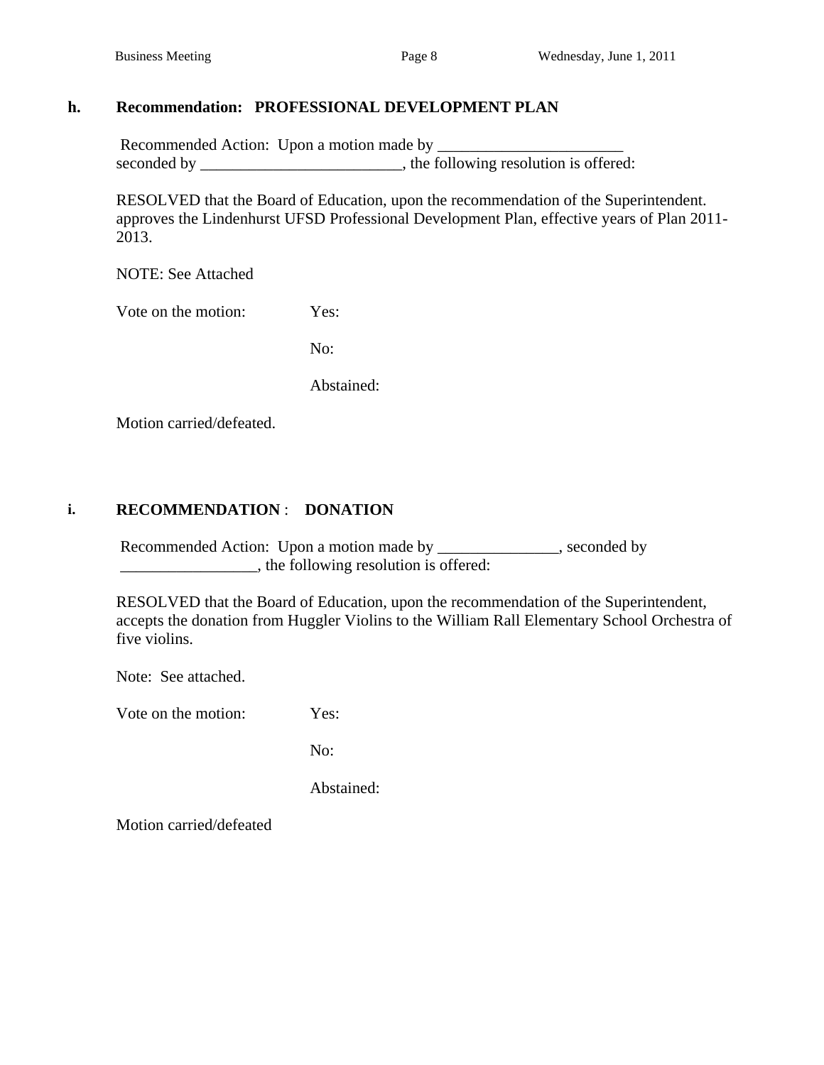# **h. Recommendation: PROFESSIONAL DEVELOPMENT PLAN**

 Recommended Action: Upon a motion made by \_\_\_\_\_\_\_\_\_\_\_\_\_\_\_\_\_\_\_\_\_\_\_ seconded by \_\_\_\_\_\_\_\_\_\_\_\_\_\_\_\_\_\_\_\_\_\_\_\_, the following resolution is offered:

RESOLVED that the Board of Education, upon the recommendation of the Superintendent. approves the Lindenhurst UFSD Professional Development Plan, effective years of Plan 2011- 2013.

NOTE: See Attached

Vote on the motion: Yes:

No:

Abstained:

Motion carried/defeated.

# **i. RECOMMENDATION** : **DONATION**

Recommended Action: Upon a motion made by \_\_\_\_\_\_\_\_\_\_\_\_, seconded by \_\_\_\_\_\_\_\_\_\_\_\_\_\_\_\_\_, the following resolution is offered:

 RESOLVED that the Board of Education, upon the recommendation of the Superintendent, accepts the donation from Huggler Violins to the William Rall Elementary School Orchestra of five violins.

Note: See attached.

Vote on the motion: Yes:

No:

Abstained:

Motion carried/defeated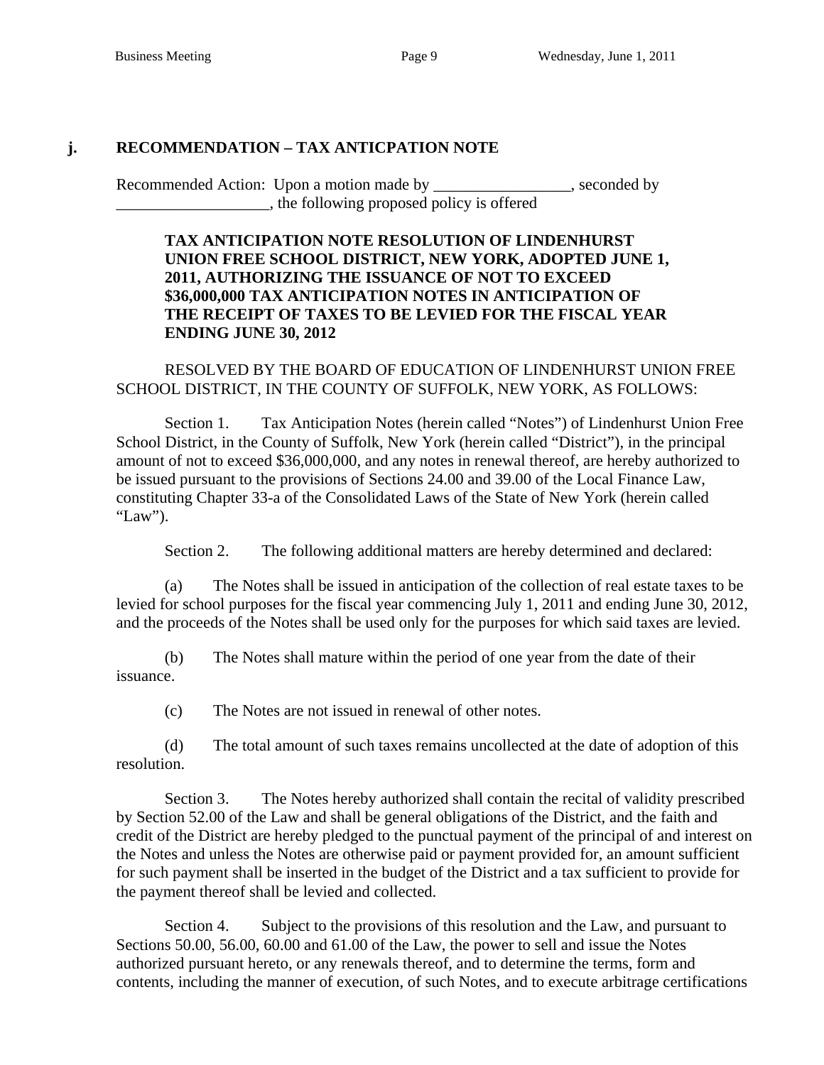## **j. RECOMMENDATION – TAX ANTICPATION NOTE**

Recommended Action: Upon a motion made by \_\_\_\_\_\_\_\_\_\_\_\_\_\_\_, seconded by \_\_\_\_\_\_\_\_\_\_\_\_\_\_\_\_\_\_\_, the following proposed policy is offered

## **TAX ANTICIPATION NOTE RESOLUTION OF LINDENHURST UNION FREE SCHOOL DISTRICT, NEW YORK, ADOPTED JUNE 1, 2011, AUTHORIZING THE ISSUANCE OF NOT TO EXCEED \$36,000,000 TAX ANTICIPATION NOTES IN ANTICIPATION OF THE RECEIPT OF TAXES TO BE LEVIED FOR THE FISCAL YEAR ENDING JUNE 30, 2012**

RESOLVED BY THE BOARD OF EDUCATION OF LINDENHURST UNION FREE SCHOOL DISTRICT, IN THE COUNTY OF SUFFOLK, NEW YORK, AS FOLLOWS:

Section 1. Tax Anticipation Notes (herein called "Notes") of Lindenhurst Union Free School District, in the County of Suffolk, New York (herein called "District"), in the principal amount of not to exceed \$36,000,000, and any notes in renewal thereof, are hereby authorized to be issued pursuant to the provisions of Sections 24.00 and 39.00 of the Local Finance Law, constituting Chapter 33-a of the Consolidated Laws of the State of New York (herein called "Law").

Section 2. The following additional matters are hereby determined and declared:

(a) The Notes shall be issued in anticipation of the collection of real estate taxes to be levied for school purposes for the fiscal year commencing July 1, 2011 and ending June 30, 2012, and the proceeds of the Notes shall be used only for the purposes for which said taxes are levied.

(b) The Notes shall mature within the period of one year from the date of their issuance.

(c) The Notes are not issued in renewal of other notes.

(d) The total amount of such taxes remains uncollected at the date of adoption of this resolution.

Section 3. The Notes hereby authorized shall contain the recital of validity prescribed by Section 52.00 of the Law and shall be general obligations of the District, and the faith and credit of the District are hereby pledged to the punctual payment of the principal of and interest on the Notes and unless the Notes are otherwise paid or payment provided for, an amount sufficient for such payment shall be inserted in the budget of the District and a tax sufficient to provide for the payment thereof shall be levied and collected.

Section 4. Subject to the provisions of this resolution and the Law, and pursuant to Sections 50.00, 56.00, 60.00 and 61.00 of the Law, the power to sell and issue the Notes authorized pursuant hereto, or any renewals thereof, and to determine the terms, form and contents, including the manner of execution, of such Notes, and to execute arbitrage certifications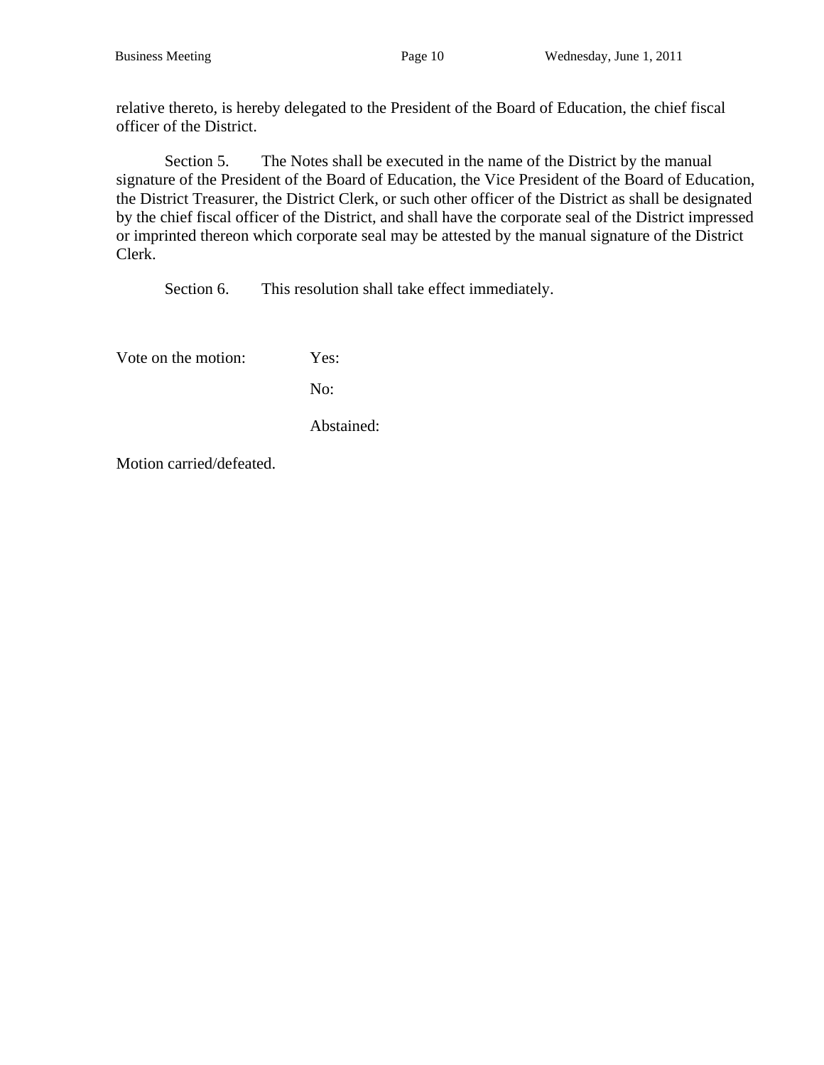relative thereto, is hereby delegated to the President of the Board of Education, the chief fiscal officer of the District.

Section 5. The Notes shall be executed in the name of the District by the manual signature of the President of the Board of Education, the Vice President of the Board of Education, the District Treasurer, the District Clerk, or such other officer of the District as shall be designated by the chief fiscal officer of the District, and shall have the corporate seal of the District impressed or imprinted thereon which corporate seal may be attested by the manual signature of the District Clerk.

Section 6. This resolution shall take effect immediately.

Vote on the motion: Yes:

No:

Abstained:

Motion carried/defeated.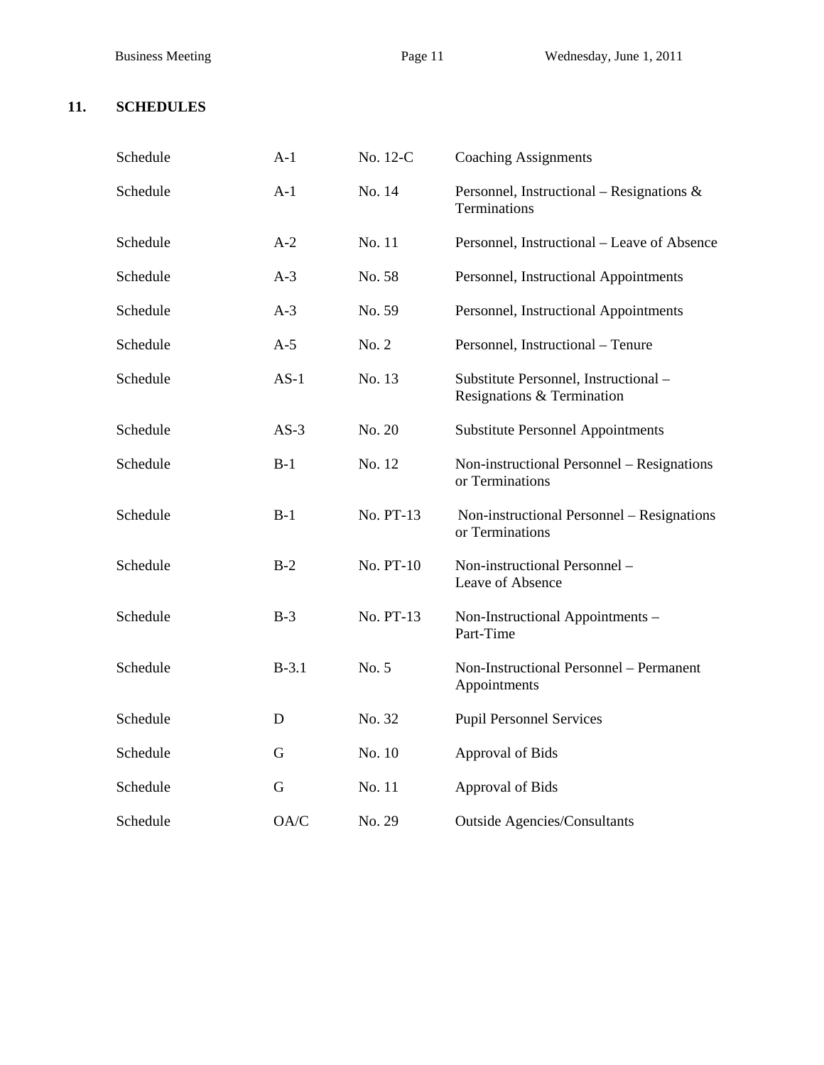# **11. SCHEDULES**

| Schedule | $A-1$   | No. 12-C  | <b>Coaching Assignments</b>                                        |
|----------|---------|-----------|--------------------------------------------------------------------|
| Schedule | $A-1$   | No. 14    | Personnel, Instructional – Resignations $\&$<br>Terminations       |
| Schedule | $A-2$   | No. 11    | Personnel, Instructional – Leave of Absence                        |
| Schedule | $A-3$   | No. 58    | Personnel, Instructional Appointments                              |
| Schedule | $A-3$   | No. 59    | Personnel, Instructional Appointments                              |
| Schedule | $A-5$   | No. 2     | Personnel, Instructional - Tenure                                  |
| Schedule | $AS-1$  | No. 13    | Substitute Personnel, Instructional-<br>Resignations & Termination |
| Schedule | $AS-3$  | No. 20    | <b>Substitute Personnel Appointments</b>                           |
| Schedule | $B-1$   | No. 12    | Non-instructional Personnel - Resignations<br>or Terminations      |
| Schedule | $B-1$   | No. PT-13 | Non-instructional Personnel - Resignations<br>or Terminations      |
| Schedule | $B-2$   | No. PT-10 | Non-instructional Personnel -<br>Leave of Absence                  |
| Schedule | $B-3$   | No. PT-13 | Non-Instructional Appointments -<br>Part-Time                      |
| Schedule | $B-3.1$ | No. 5     | Non-Instructional Personnel - Permanent<br>Appointments            |
| Schedule | D       | No. 32    | <b>Pupil Personnel Services</b>                                    |
| Schedule | G       | No. 10    | Approval of Bids                                                   |
| Schedule | G       | No. 11    | <b>Approval of Bids</b>                                            |
| Schedule | OA/C    | No. 29    | <b>Outside Agencies/Consultants</b>                                |